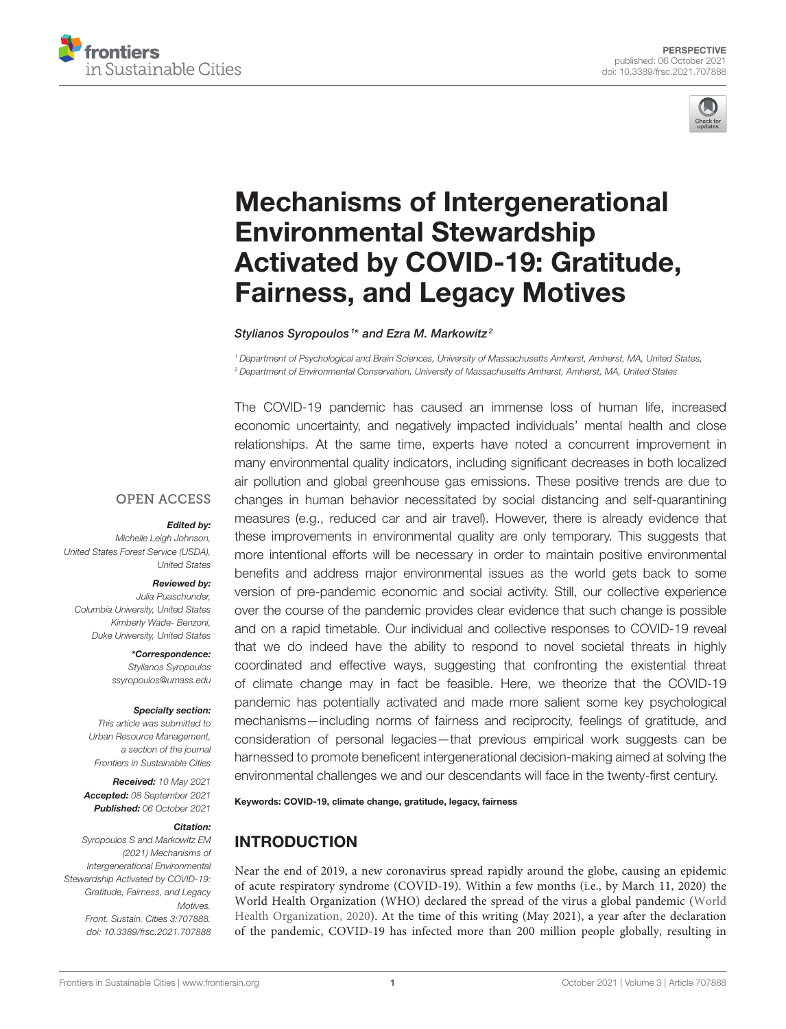



# Mechanisms of Intergenerational Environmental Stewardship [Activated by COVID-19: Gratitude,](https://www.frontiersin.org/articles/10.3389/frsc.2021.707888/full) Fairness, and Legacy Motives

Stylianos Syropoulos<sup>1\*</sup> and Ezra M. Markowitz<sup>2</sup>

*<sup>1</sup> Department of Psychological and Brain Sciences, University of Massachusetts Amherst, Amherst, MA, United States, <sup>2</sup> Department of Environmental Conservation, University of Massachusetts Amherst, Amherst, MA, United States*

The COVID-19 pandemic has caused an immense loss of human life, increased economic uncertainty, and negatively impacted individuals' mental health and close relationships. At the same time, experts have noted a concurrent improvement in many environmental quality indicators, including significant decreases in both localized air pollution and global greenhouse gas emissions. These positive trends are due to changes in human behavior necessitated by social distancing and self-quarantining measures (e.g., reduced car and air travel). However, there is already evidence that these improvements in environmental quality are only temporary. This suggests that more intentional efforts will be necessary in order to maintain positive environmental benefits and address major environmental issues as the world gets back to some version of pre-pandemic economic and social activity. Still, our collective experience over the course of the pandemic provides clear evidence that such change is possible and on a rapid timetable. Our individual and collective responses to COVID-19 reveal that we do indeed have the ability to respond to novel societal threats in highly coordinated and effective ways, suggesting that confronting the existential threat of climate change may in fact be feasible. Here, we theorize that the COVID-19 pandemic has potentially activated and made more salient some key psychological mechanisms—including norms of fairness and reciprocity, feelings of gratitude, and consideration of personal legacies—that previous empirical work suggests can be harnessed to promote beneficent intergenerational decision-making aimed at solving the environmental challenges we and our descendants will face in the twenty-first century.

Keywords: COVID-19, climate change, gratitude, legacy, fairness

#### INTRODUCTION

Near the end of 2019, a new coronavirus spread rapidly around the globe, causing an epidemic of acute respiratory syndrome (COVID-19). Within a few months (i.e., by March 11, 2020) the World Health Organization (WHO) declared the spread of the virus a global pandemic (World Health Organization, [2020\)](#page-8-0). At the time of this writing (May 2021), a year after the declaration of the pandemic, COVID-19 has infected more than 200 million people globally, resulting in

#### **OPEN ACCESS**

#### Edited by:

*Michelle Leigh Johnson, United States Forest Service (USDA), United States*

#### Reviewed by:

*Julia Puaschunder, Columbia University, United States Kimberly Wade- Benzoni, Duke University, United States*

> \*Correspondence: *Stylianos Syropoulos [ssyropoulos@umass.edu](mailto:ssyropoulos@umass.edu)*

#### Specialty section:

*This article was submitted to Urban Resource Management, a section of the journal Frontiers in Sustainable Cities*

Received: *10 May 2021* Accepted: *08 September 2021* Published: *06 October 2021*

#### Citation:

*Syropoulos S and Markowitz EM (2021) Mechanisms of Intergenerational Environmental Stewardship Activated by COVID-19: Gratitude, Fairness, and Legacy Motives. Front. Sustain. Cities 3:707888. doi: [10.3389/frsc.2021.707888](https://doi.org/10.3389/frsc.2021.707888)*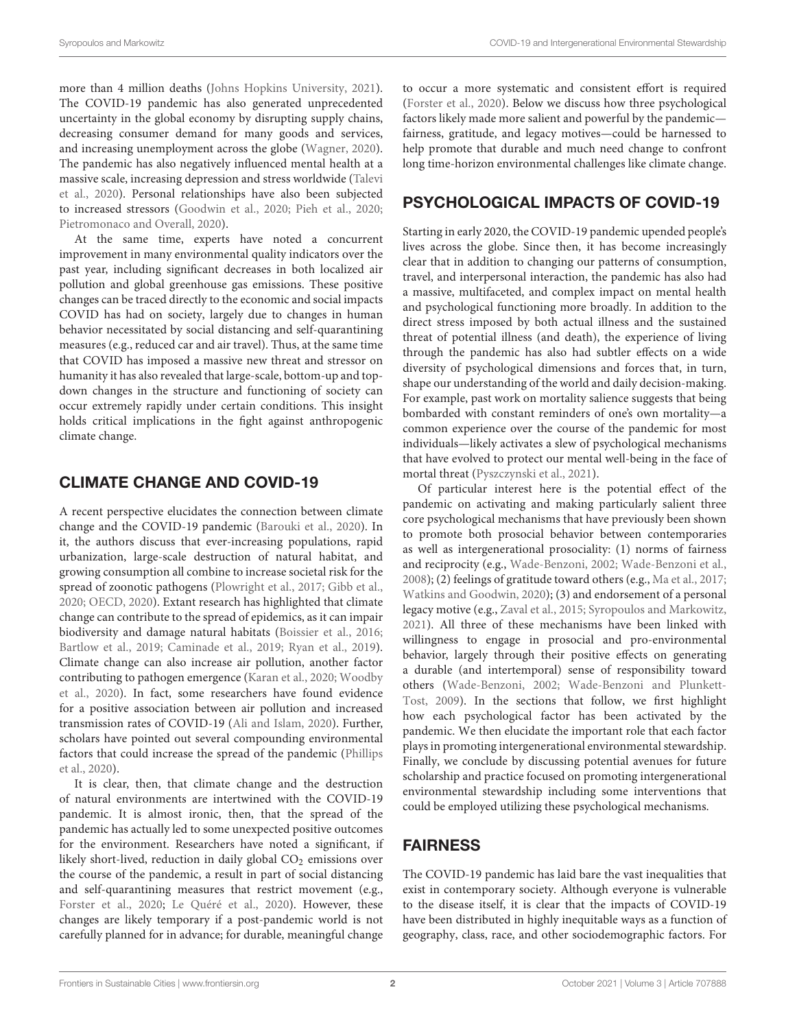more than 4 million deaths [\(Johns Hopkins University, 2021\)](#page-6-0). The COVID-19 pandemic has also generated unprecedented uncertainty in the global economy by disrupting supply chains, decreasing consumer demand for many goods and services, and increasing unemployment across the globe [\(Wagner, 2020\)](#page-7-0). The pandemic has also negatively influenced mental health at a massive scale, increasing depression and stress worldwide (Talevi et al., [2020\)](#page-7-1). Personal relationships have also been subjected to increased stressors [\(Goodwin et al., 2020;](#page-6-1) [Pieh et al., 2020;](#page-7-2) [Pietromonaco and Overall, 2020\)](#page-7-3).

At the same time, experts have noted a concurrent improvement in many environmental quality indicators over the past year, including significant decreases in both localized air pollution and global greenhouse gas emissions. These positive changes can be traced directly to the economic and social impacts COVID has had on society, largely due to changes in human behavior necessitated by social distancing and self-quarantining measures (e.g., reduced car and air travel). Thus, at the same time that COVID has imposed a massive new threat and stressor on humanity it has also revealed that large-scale, bottom-up and topdown changes in the structure and functioning of society can occur extremely rapidly under certain conditions. This insight holds critical implications in the fight against anthropogenic climate change.

#### CLIMATE CHANGE AND COVID-19

A recent perspective elucidates the connection between climate change and the COVID-19 pandemic [\(Barouki et al., 2020\)](#page-6-2). In it, the authors discuss that ever-increasing populations, rapid urbanization, large-scale destruction of natural habitat, and growing consumption all combine to increase societal risk for the spread of zoonotic pathogens [\(Plowright et al., 2017;](#page-7-4) [Gibb et al.,](#page-6-3) [2020;](#page-6-3) [OECD, 2020\)](#page-7-5). Extant research has highlighted that climate change can contribute to the spread of epidemics, as it can impair biodiversity and damage natural habitats [\(Boissier et al., 2016;](#page-6-4) [Bartlow et al., 2019;](#page-6-5) [Caminade et al., 2019;](#page-6-6) [Ryan et al., 2019\)](#page-7-6). Climate change can also increase air pollution, another factor contributing to pathogen emergence [\(Karan et al., 2020;](#page-6-7) Woodby et al., [2020\)](#page-7-7). In fact, some researchers have found evidence for a positive association between air pollution and increased transmission rates of COVID-19 [\(Ali and Islam, 2020\)](#page-6-8). Further, scholars have pointed out several compounding environmental factors that could increase the spread of the pandemic (Phillips et al., [2020\)](#page-7-8).

It is clear, then, that climate change and the destruction of natural environments are intertwined with the COVID-19 pandemic. It is almost ironic, then, that the spread of the pandemic has actually led to some unexpected positive outcomes for the environment. Researchers have noted a significant, if likely short-lived, reduction in daily global  $CO<sub>2</sub>$  emissions over the course of the pandemic, a result in part of social distancing and self-quarantining measures that restrict movement (e.g., [Forster et al., 2020;](#page-6-9) [Le Quéré et al., 2020\)](#page-7-9). However, these changes are likely temporary if a post-pandemic world is not carefully planned for in advance; for durable, meaningful change

to occur a more systematic and consistent effort is required [\(Forster et al., 2020\)](#page-6-9). Below we discuss how three psychological factors likely made more salient and powerful by the pandemic fairness, gratitude, and legacy motives—could be harnessed to help promote that durable and much need change to confront long time-horizon environmental challenges like climate change.

#### PSYCHOLOGICAL IMPACTS OF COVID-19

Starting in early 2020, the COVID-19 pandemic upended people's lives across the globe. Since then, it has become increasingly clear that in addition to changing our patterns of consumption, travel, and interpersonal interaction, the pandemic has also had a massive, multifaceted, and complex impact on mental health and psychological functioning more broadly. In addition to the direct stress imposed by both actual illness and the sustained threat of potential illness (and death), the experience of living through the pandemic has also had subtler effects on a wide diversity of psychological dimensions and forces that, in turn, shape our understanding of the world and daily decision-making. For example, past work on mortality salience suggests that being bombarded with constant reminders of one's own mortality—a common experience over the course of the pandemic for most individuals—likely activates a slew of psychological mechanisms that have evolved to protect our mental well-being in the face of mortal threat [\(Pyszczynski et al., 2021\)](#page-7-10).

Of particular interest here is the potential effect of the pandemic on activating and making particularly salient three core psychological mechanisms that have previously been shown to promote both prosocial behavior between contemporaries as well as intergenerational prosociality: (1) norms of fairness and reciprocity (e.g., [Wade-Benzoni, 2002;](#page-7-11) [Wade-Benzoni et al.,](#page-7-12) [2008\)](#page-7-12); (2) feelings of gratitude toward others (e.g., [Ma et al., 2017;](#page-7-13) [Watkins and Goodwin, 2020\)](#page-7-14); (3) and endorsement of a personal legacy motive (e.g., [Zaval et al., 2015;](#page-8-1) [Syropoulos and Markowitz,](#page-7-15) [2021\)](#page-7-15). All three of these mechanisms have been linked with willingness to engage in prosocial and pro-environmental behavior, largely through their positive effects on generating a durable (and intertemporal) sense of responsibility toward others [\(Wade-Benzoni, 2002;](#page-7-11) Wade-Benzoni and Plunkett-Tost, [2009\)](#page-7-16). In the sections that follow, we first highlight how each psychological factor has been activated by the pandemic. We then elucidate the important role that each factor plays in promoting intergenerational environmental stewardship. Finally, we conclude by discussing potential avenues for future scholarship and practice focused on promoting intergenerational environmental stewardship including some interventions that could be employed utilizing these psychological mechanisms.

### FAIRNESS

The COVID-19 pandemic has laid bare the vast inequalities that exist in contemporary society. Although everyone is vulnerable to the disease itself, it is clear that the impacts of COVID-19 have been distributed in highly inequitable ways as a function of geography, class, race, and other sociodemographic factors. For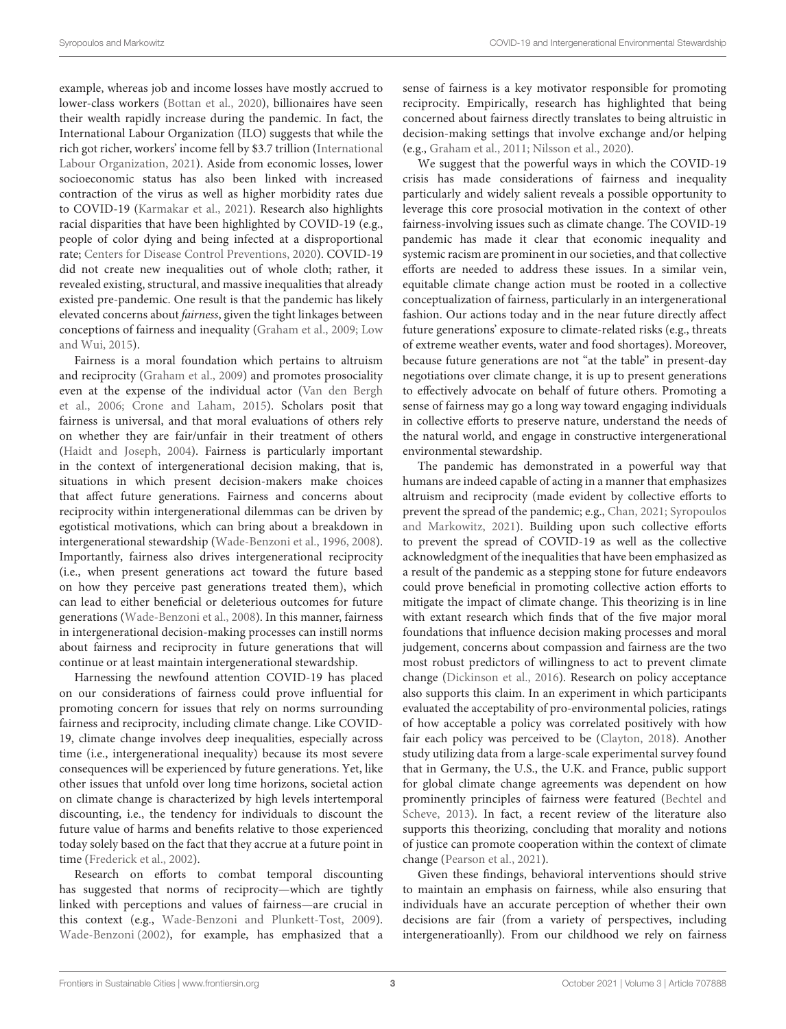example, whereas job and income losses have mostly accrued to lower-class workers [\(Bottan et al., 2020\)](#page-6-10), billionaires have seen their wealth rapidly increase during the pandemic. In fact, the International Labour Organization (ILO) suggests that while the rich got richer, workers' income fell by \$3.7 trillion (International Labour Organization, [2021\)](#page-6-11). Aside from economic losses, lower socioeconomic status has also been linked with increased contraction of the virus as well as higher morbidity rates due to COVID-19 [\(Karmakar et al., 2021\)](#page-7-17). Research also highlights racial disparities that have been highlighted by COVID-19 (e.g., people of color dying and being infected at a disproportional rate; [Centers for Disease Control Preventions, 2020\)](#page-6-12). COVID-19 did not create new inequalities out of whole cloth; rather, it revealed existing, structural, and massive inequalities that already existed pre-pandemic. One result is that the pandemic has likely elevated concerns about fairness, given the tight linkages between conceptions of fairness and inequality [\(Graham et al., 2009;](#page-6-13) Low and Wui, [2015\)](#page-7-18).

Fairness is a moral foundation which pertains to altruism and reciprocity [\(Graham et al., 2009\)](#page-6-13) and promotes prosociality even at the expense of the individual actor (Van den Bergh et al., [2006;](#page-7-19) [Crone and Laham, 2015\)](#page-6-14). Scholars posit that fairness is universal, and that moral evaluations of others rely on whether they are fair/unfair in their treatment of others [\(Haidt and Joseph, 2004\)](#page-6-15). Fairness is particularly important in the context of intergenerational decision making, that is, situations in which present decision-makers make choices that affect future generations. Fairness and concerns about reciprocity within intergenerational dilemmas can be driven by egotistical motivations, which can bring about a breakdown in intergenerational stewardship [\(Wade-Benzoni et al., 1996,](#page-7-20) [2008\)](#page-7-12). Importantly, fairness also drives intergenerational reciprocity (i.e., when present generations act toward the future based on how they perceive past generations treated them), which can lead to either beneficial or deleterious outcomes for future generations [\(Wade-Benzoni et al., 2008\)](#page-7-12). In this manner, fairness in intergenerational decision-making processes can instill norms about fairness and reciprocity in future generations that will continue or at least maintain intergenerational stewardship.

Harnessing the newfound attention COVID-19 has placed on our considerations of fairness could prove influential for promoting concern for issues that rely on norms surrounding fairness and reciprocity, including climate change. Like COVID-19, climate change involves deep inequalities, especially across time (i.e., intergenerational inequality) because its most severe consequences will be experienced by future generations. Yet, like other issues that unfold over long time horizons, societal action on climate change is characterized by high levels intertemporal discounting, i.e., the tendency for individuals to discount the future value of harms and benefits relative to those experienced today solely based on the fact that they accrue at a future point in time [\(Frederick et al., 2002\)](#page-6-16).

Research on efforts to combat temporal discounting has suggested that norms of reciprocity—which are tightly linked with perceptions and values of fairness—are crucial in this context (e.g., [Wade-Benzoni and Plunkett-Tost, 2009\)](#page-7-16). [Wade-Benzoni \(2002\)](#page-7-11), for example, has emphasized that a

sense of fairness is a key motivator responsible for promoting reciprocity. Empirically, research has highlighted that being concerned about fairness directly translates to being altruistic in decision-making settings that involve exchange and/or helping (e.g., [Graham et al., 2011;](#page-6-17) [Nilsson et al., 2020\)](#page-7-21).

We suggest that the powerful ways in which the COVID-19 crisis has made considerations of fairness and inequality particularly and widely salient reveals a possible opportunity to leverage this core prosocial motivation in the context of other fairness-involving issues such as climate change. The COVID-19 pandemic has made it clear that economic inequality and systemic racism are prominent in our societies, and that collective efforts are needed to address these issues. In a similar vein, equitable climate change action must be rooted in a collective conceptualization of fairness, particularly in an intergenerational fashion. Our actions today and in the near future directly affect future generations' exposure to climate-related risks (e.g., threats of extreme weather events, water and food shortages). Moreover, because future generations are not "at the table" in present-day negotiations over climate change, it is up to present generations to effectively advocate on behalf of future others. Promoting a sense of fairness may go a long way toward engaging individuals in collective efforts to preserve nature, understand the needs of the natural world, and engage in constructive intergenerational environmental stewardship.

The pandemic has demonstrated in a powerful way that humans are indeed capable of acting in a manner that emphasizes altruism and reciprocity (made evident by collective efforts to prevent the spread of the pandemic; e.g., [Chan, 2021;](#page-6-18) Syropoulos and Markowitz, [2021\)](#page-7-15). Building upon such collective efforts to prevent the spread of COVID-19 as well as the collective acknowledgment of the inequalities that have been emphasized as a result of the pandemic as a stepping stone for future endeavors could prove beneficial in promoting collective action efforts to mitigate the impact of climate change. This theorizing is in line with extant research which finds that of the five major moral foundations that influence decision making processes and moral judgement, concerns about compassion and fairness are the two most robust predictors of willingness to act to prevent climate change [\(Dickinson et al., 2016\)](#page-6-19). Research on policy acceptance also supports this claim. In an experiment in which participants evaluated the acceptability of pro-environmental policies, ratings of how acceptable a policy was correlated positively with how fair each policy was perceived to be [\(Clayton, 2018\)](#page-6-20). Another study utilizing data from a large-scale experimental survey found that in Germany, the U.S., the U.K. and France, public support for global climate change agreements was dependent on how prominently principles of fairness were featured (Bechtel and Scheve, [2013\)](#page-6-21). In fact, a recent review of the literature also supports this theorizing, concluding that morality and notions of justice can promote cooperation within the context of climate change [\(Pearson et al., 2021\)](#page-7-22).

Given these findings, behavioral interventions should strive to maintain an emphasis on fairness, while also ensuring that individuals have an accurate perception of whether their own decisions are fair (from a variety of perspectives, including intergeneratioanlly). From our childhood we rely on fairness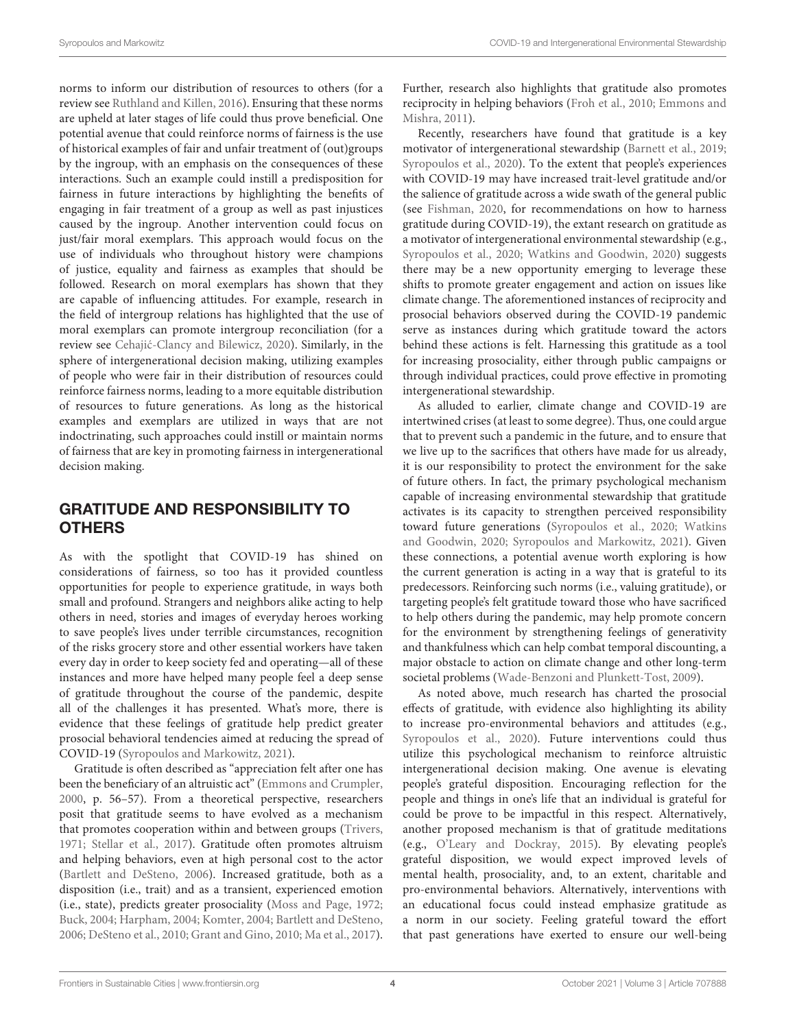norms to inform our distribution of resources to others (for a review see [Ruthland and Killen, 2016\)](#page-7-23). Ensuring that these norms are upheld at later stages of life could thus prove beneficial. One potential avenue that could reinforce norms of fairness is the use of historical examples of fair and unfair treatment of (out)groups by the ingroup, with an emphasis on the consequences of these interactions. Such an example could instill a predisposition for fairness in future interactions by highlighting the benefits of engaging in fair treatment of a group as well as past injustices caused by the ingroup. Another intervention could focus on just/fair moral exemplars. This approach would focus on the use of individuals who throughout history were champions of justice, equality and fairness as examples that should be followed. Research on moral exemplars has shown that they are capable of influencing attitudes. For example, research in the field of intergroup relations has highlighted that the use of moral exemplars can promote intergroup reconciliation (for a review see Cehajić-Clancy and Bilewicz, 2020). Similarly, in the sphere of intergenerational decision making, utilizing examples of people who were fair in their distribution of resources could reinforce fairness norms, leading to a more equitable distribution of resources to future generations. As long as the historical examples and exemplars are utilized in ways that are not indoctrinating, such approaches could instill or maintain norms of fairness that are key in promoting fairness in intergenerational decision making.

## GRATITUDE AND RESPONSIBILITY TO **OTHERS**

As with the spotlight that COVID-19 has shined on considerations of fairness, so too has it provided countless opportunities for people to experience gratitude, in ways both small and profound. Strangers and neighbors alike acting to help others in need, stories and images of everyday heroes working to save people's lives under terrible circumstances, recognition of the risks grocery store and other essential workers have taken every day in order to keep society fed and operating—all of these instances and more have helped many people feel a deep sense of gratitude throughout the course of the pandemic, despite all of the challenges it has presented. What's more, there is evidence that these feelings of gratitude help predict greater prosocial behavioral tendencies aimed at reducing the spread of COVID-19 [\(Syropoulos and Markowitz, 2021\)](#page-7-15).

Gratitude is often described as "appreciation felt after one has been the beneficiary of an altruistic act" [\(Emmons and Crumpler,](#page-6-23) [2000,](#page-6-23) p. 56–57). From a theoretical perspective, researchers posit that gratitude seems to have evolved as a mechanism that promotes cooperation within and between groups [\(Trivers,](#page-7-24) [1971;](#page-7-24) [Stellar et al., 2017\)](#page-7-25). Gratitude often promotes altruism and helping behaviors, even at high personal cost to the actor [\(Bartlett and DeSteno, 2006\)](#page-6-24). Increased gratitude, both as a disposition (i.e., trait) and as a transient, experienced emotion (i.e., state), predicts greater prosociality [\(Moss and Page, 1972;](#page-7-26) [Buck, 2004;](#page-6-25) [Harpham, 2004;](#page-6-26) [Komter, 2004;](#page-7-27) [Bartlett and DeSteno,](#page-6-24) [2006;](#page-6-24) [DeSteno et al., 2010;](#page-6-27) [Grant and Gino, 2010;](#page-6-28) [Ma et al., 2017\)](#page-7-13). Further, research also highlights that gratitude also promotes reciprocity in helping behaviors [\(Froh et al., 2010;](#page-6-29) Emmons and Mishra, [2011\)](#page-6-30).

Recently, researchers have found that gratitude is a key motivator of intergenerational stewardship [\(Barnett et al., 2019;](#page-6-31) [Syropoulos et al., 2020\)](#page-7-28). To the extent that people's experiences with COVID-19 may have increased trait-level gratitude and/or the salience of gratitude across a wide swath of the general public (see [Fishman, 2020,](#page-6-32) for recommendations on how to harness gratitude during COVID-19), the extant research on gratitude as a motivator of intergenerational environmental stewardship (e.g., [Syropoulos et al., 2020;](#page-7-28) [Watkins and Goodwin, 2020\)](#page-7-14) suggests there may be a new opportunity emerging to leverage these shifts to promote greater engagement and action on issues like climate change. The aforementioned instances of reciprocity and prosocial behaviors observed during the COVID-19 pandemic serve as instances during which gratitude toward the actors behind these actions is felt. Harnessing this gratitude as a tool for increasing prosociality, either through public campaigns or through individual practices, could prove effective in promoting intergenerational stewardship.

As alluded to earlier, climate change and COVID-19 are intertwined crises (at least to some degree). Thus, one could argue that to prevent such a pandemic in the future, and to ensure that we live up to the sacrifices that others have made for us already, it is our responsibility to protect the environment for the sake of future others. In fact, the primary psychological mechanism capable of increasing environmental stewardship that gratitude activates is its capacity to strengthen perceived responsibility toward future generations [\(Syropoulos et al., 2020;](#page-7-28) Watkins and Goodwin, [2020;](#page-7-14) [Syropoulos and Markowitz, 2021\)](#page-7-15). Given these connections, a potential avenue worth exploring is how the current generation is acting in a way that is grateful to its predecessors. Reinforcing such norms (i.e., valuing gratitude), or targeting people's felt gratitude toward those who have sacrificed to help others during the pandemic, may help promote concern for the environment by strengthening feelings of generativity and thankfulness which can help combat temporal discounting, a major obstacle to action on climate change and other long-term societal problems [\(Wade-Benzoni and Plunkett-Tost, 2009\)](#page-7-16).

As noted above, much research has charted the prosocial effects of gratitude, with evidence also highlighting its ability to increase pro-environmental behaviors and attitudes (e.g., [Syropoulos et al., 2020\)](#page-7-28). Future interventions could thus utilize this psychological mechanism to reinforce altruistic intergenerational decision making. One avenue is elevating people's grateful disposition. Encouraging reflection for the people and things in one's life that an individual is grateful for could be prove to be impactful in this respect. Alternatively, another proposed mechanism is that of gratitude meditations (e.g., [O'Leary and Dockray, 2015\)](#page-7-29). By elevating people's grateful disposition, we would expect improved levels of mental health, prosociality, and, to an extent, charitable and pro-environmental behaviors. Alternatively, interventions with an educational focus could instead emphasize gratitude as a norm in our society. Feeling grateful toward the effort that past generations have exerted to ensure our well-being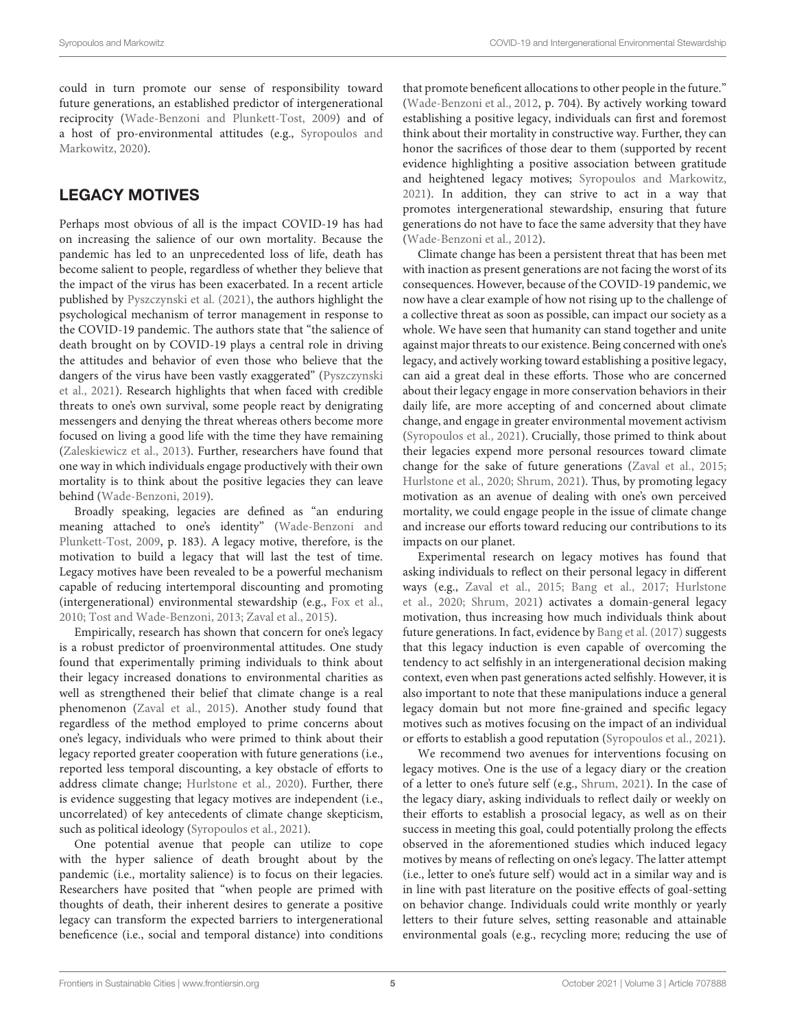could in turn promote our sense of responsibility toward future generations, an established predictor of intergenerational reciprocity [\(Wade-Benzoni and Plunkett-Tost, 2009\)](#page-7-16) and of a host of pro-environmental attitudes (e.g., Syropoulos and Markowitz, [2020\)](#page-7-30).

### LEGACY MOTIVES

Perhaps most obvious of all is the impact COVID-19 has had on increasing the salience of our own mortality. Because the pandemic has led to an unprecedented loss of life, death has become salient to people, regardless of whether they believe that the impact of the virus has been exacerbated. In a recent article published by [Pyszczynski et al. \(2021\)](#page-7-10), the authors highlight the psychological mechanism of terror management in response to the COVID-19 pandemic. The authors state that "the salience of death brought on by COVID-19 plays a central role in driving the attitudes and behavior of even those who believe that the dangers of the virus have been vastly exaggerated" (Pyszczynski et al., [2021\)](#page-7-10). Research highlights that when faced with credible threats to one's own survival, some people react by denigrating messengers and denying the threat whereas others become more focused on living a good life with the time they have remaining [\(Zaleskiewicz et al., 2013\)](#page-8-2). Further, researchers have found that one way in which individuals engage productively with their own mortality is to think about the positive legacies they can leave behind [\(Wade-Benzoni, 2019\)](#page-7-31).

Broadly speaking, legacies are defined as "an enduring meaning attached to one's identity" (Wade-Benzoni and Plunkett-Tost, [2009,](#page-7-16) p. 183). A legacy motive, therefore, is the motivation to build a legacy that will last the test of time. Legacy motives have been revealed to be a powerful mechanism capable of reducing intertemporal discounting and promoting (intergenerational) environmental stewardship (e.g., [Fox et al.,](#page-6-33) [2010;](#page-6-33) [Tost and Wade-Benzoni, 2013;](#page-7-32) [Zaval et al., 2015\)](#page-8-1).

Empirically, research has shown that concern for one's legacy is a robust predictor of proenvironmental attitudes. One study found that experimentally priming individuals to think about their legacy increased donations to environmental charities as well as strengthened their belief that climate change is a real phenomenon [\(Zaval et al., 2015\)](#page-8-1). Another study found that regardless of the method employed to prime concerns about one's legacy, individuals who were primed to think about their legacy reported greater cooperation with future generations (i.e., reported less temporal discounting, a key obstacle of efforts to address climate change; [Hurlstone et al., 2020\)](#page-6-34). Further, there is evidence suggesting that legacy motives are independent (i.e., uncorrelated) of key antecedents of climate change skepticism, such as political ideology [\(Syropoulos et al., 2021\)](#page-7-33).

One potential avenue that people can utilize to cope with the hyper salience of death brought about by the pandemic (i.e., mortality salience) is to focus on their legacies. Researchers have posited that "when people are primed with thoughts of death, their inherent desires to generate a positive legacy can transform the expected barriers to intergenerational beneficence (i.e., social and temporal distance) into conditions that promote beneficent allocations to other people in the future." [\(Wade-Benzoni et al., 2012,](#page-7-34) p. 704). By actively working toward establishing a positive legacy, individuals can first and foremost think about their mortality in constructive way. Further, they can honor the sacrifices of those dear to them (supported by recent evidence highlighting a positive association between gratitude and heightened legacy motives; [Syropoulos and Markowitz,](#page-7-15) [2021\)](#page-7-15). In addition, they can strive to act in a way that promotes intergenerational stewardship, ensuring that future generations do not have to face the same adversity that they have [\(Wade-Benzoni et al., 2012\)](#page-7-34).

Climate change has been a persistent threat that has been met with inaction as present generations are not facing the worst of its consequences. However, because of the COVID-19 pandemic, we now have a clear example of how not rising up to the challenge of a collective threat as soon as possible, can impact our society as a whole. We have seen that humanity can stand together and unite against major threats to our existence. Being concerned with one's legacy, and actively working toward establishing a positive legacy, can aid a great deal in these efforts. Those who are concerned about their legacy engage in more conservation behaviors in their daily life, are more accepting of and concerned about climate change, and engage in greater environmental movement activism [\(Syropoulos et al., 2021\)](#page-7-33). Crucially, those primed to think about their legacies expend more personal resources toward climate change for the sake of future generations [\(Zaval et al., 2015;](#page-8-1) [Hurlstone et al., 2020;](#page-6-34) [Shrum, 2021\)](#page-7-35). Thus, by promoting legacy motivation as an avenue of dealing with one's own perceived mortality, we could engage people in the issue of climate change and increase our efforts toward reducing our contributions to its impacts on our planet.

Experimental research on legacy motives has found that asking individuals to reflect on their personal legacy in different ways (e.g., [Zaval et al., 2015;](#page-8-1) [Bang et al., 2017;](#page-6-35) Hurlstone et al., [2020;](#page-6-34) [Shrum, 2021\)](#page-7-35) activates a domain-general legacy motivation, thus increasing how much individuals think about future generations. In fact, evidence by [Bang et al. \(2017\)](#page-6-35) suggests that this legacy induction is even capable of overcoming the tendency to act selfishly in an intergenerational decision making context, even when past generations acted selfishly. However, it is also important to note that these manipulations induce a general legacy domain but not more fine-grained and specific legacy motives such as motives focusing on the impact of an individual or efforts to establish a good reputation [\(Syropoulos et al., 2021\)](#page-7-33).

We recommend two avenues for interventions focusing on legacy motives. One is the use of a legacy diary or the creation of a letter to one's future self (e.g., [Shrum, 2021\)](#page-7-35). In the case of the legacy diary, asking individuals to reflect daily or weekly on their efforts to establish a prosocial legacy, as well as on their success in meeting this goal, could potentially prolong the effects observed in the aforementioned studies which induced legacy motives by means of reflecting on one's legacy. The latter attempt (i.e., letter to one's future self) would act in a similar way and is in line with past literature on the positive effects of goal-setting on behavior change. Individuals could write monthly or yearly letters to their future selves, setting reasonable and attainable environmental goals (e.g., recycling more; reducing the use of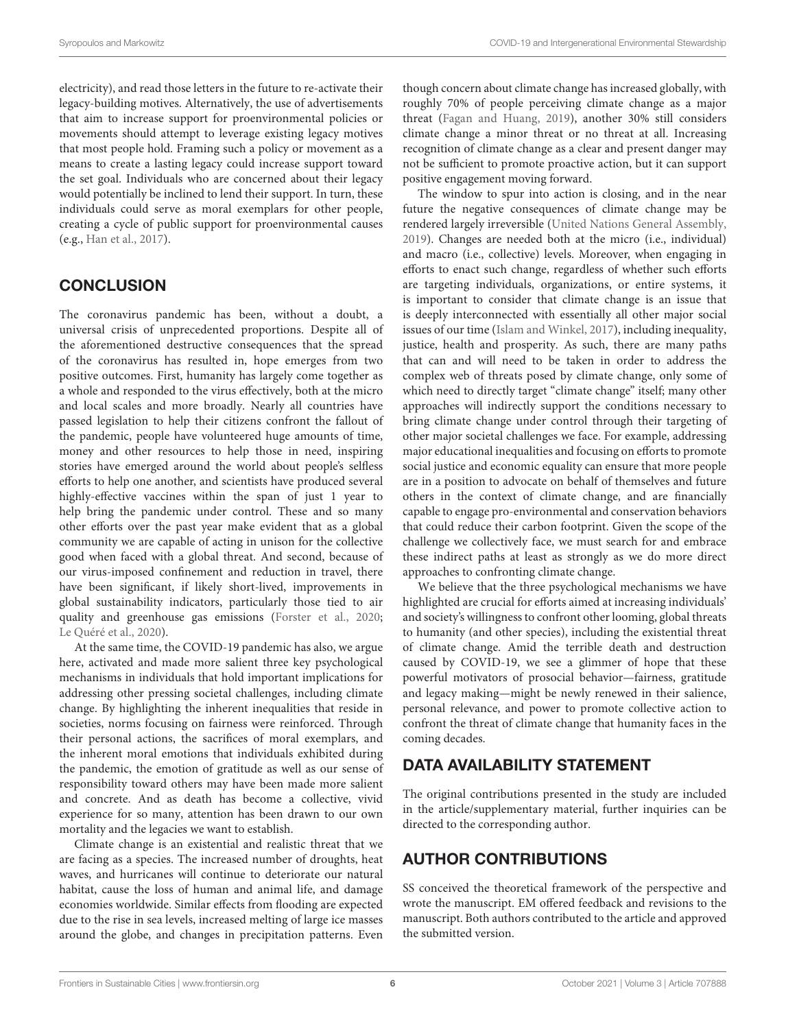electricity), and read those letters in the future to re-activate their legacy-building motives. Alternatively, the use of advertisements that aim to increase support for proenvironmental policies or movements should attempt to leverage existing legacy motives that most people hold. Framing such a policy or movement as a means to create a lasting legacy could increase support toward the set goal. Individuals who are concerned about their legacy would potentially be inclined to lend their support. In turn, these individuals could serve as moral exemplars for other people, creating a cycle of public support for proenvironmental causes (e.g., [Han et al., 2017\)](#page-6-36).

#### **CONCLUSION**

The coronavirus pandemic has been, without a doubt, a universal crisis of unprecedented proportions. Despite all of the aforementioned destructive consequences that the spread of the coronavirus has resulted in, hope emerges from two positive outcomes. First, humanity has largely come together as a whole and responded to the virus effectively, both at the micro and local scales and more broadly. Nearly all countries have passed legislation to help their citizens confront the fallout of the pandemic, people have volunteered huge amounts of time, money and other resources to help those in need, inspiring stories have emerged around the world about people's selfless efforts to help one another, and scientists have produced several highly-effective vaccines within the span of just 1 year to help bring the pandemic under control. These and so many other efforts over the past year make evident that as a global community we are capable of acting in unison for the collective good when faced with a global threat. And second, because of our virus-imposed confinement and reduction in travel, there have been significant, if likely short-lived, improvements in global sustainability indicators, particularly those tied to air quality and greenhouse gas emissions [\(Forster et al., 2020;](#page-6-9) [Le Quéré et al., 2020\)](#page-7-9).

At the same time, the COVID-19 pandemic has also, we argue here, activated and made more salient three key psychological mechanisms in individuals that hold important implications for addressing other pressing societal challenges, including climate change. By highlighting the inherent inequalities that reside in societies, norms focusing on fairness were reinforced. Through their personal actions, the sacrifices of moral exemplars, and the inherent moral emotions that individuals exhibited during the pandemic, the emotion of gratitude as well as our sense of responsibility toward others may have been made more salient and concrete. And as death has become a collective, vivid experience for so many, attention has been drawn to our own mortality and the legacies we want to establish.

Climate change is an existential and realistic threat that we are facing as a species. The increased number of droughts, heat waves, and hurricanes will continue to deteriorate our natural habitat, cause the loss of human and animal life, and damage economies worldwide. Similar effects from flooding are expected due to the rise in sea levels, increased melting of large ice masses around the globe, and changes in precipitation patterns. Even

though concern about climate change has increased globally, with roughly 70% of people perceiving climate change as a major threat [\(Fagan and Huang, 2019\)](#page-6-37), another 30% still considers climate change a minor threat or no threat at all. Increasing recognition of climate change as a clear and present danger may not be sufficient to promote proactive action, but it can support positive engagement moving forward.

The window to spur into action is closing, and in the near future the negative consequences of climate change may be rendered largely irreversible [\(United Nations General Assembly,](#page-7-36) [2019\)](#page-7-36). Changes are needed both at the micro (i.e., individual) and macro (i.e., collective) levels. Moreover, when engaging in efforts to enact such change, regardless of whether such efforts are targeting individuals, organizations, or entire systems, it is important to consider that climate change is an issue that is deeply interconnected with essentially all other major social issues of our time [\(Islam and Winkel, 2017\)](#page-6-38), including inequality, justice, health and prosperity. As such, there are many paths that can and will need to be taken in order to address the complex web of threats posed by climate change, only some of which need to directly target "climate change" itself; many other approaches will indirectly support the conditions necessary to bring climate change under control through their targeting of other major societal challenges we face. For example, addressing major educational inequalities and focusing on efforts to promote social justice and economic equality can ensure that more people are in a position to advocate on behalf of themselves and future others in the context of climate change, and are financially capable to engage pro-environmental and conservation behaviors that could reduce their carbon footprint. Given the scope of the challenge we collectively face, we must search for and embrace these indirect paths at least as strongly as we do more direct approaches to confronting climate change.

We believe that the three psychological mechanisms we have highlighted are crucial for efforts aimed at increasing individuals' and society's willingness to confront other looming, global threats to humanity (and other species), including the existential threat of climate change. Amid the terrible death and destruction caused by COVID-19, we see a glimmer of hope that these powerful motivators of prosocial behavior—fairness, gratitude and legacy making—might be newly renewed in their salience, personal relevance, and power to promote collective action to confront the threat of climate change that humanity faces in the coming decades.

#### DATA AVAILABILITY STATEMENT

The original contributions presented in the study are included in the article/supplementary material, further inquiries can be directed to the corresponding author.

### AUTHOR CONTRIBUTIONS

SS conceived the theoretical framework of the perspective and wrote the manuscript. EM offered feedback and revisions to the manuscript. Both authors contributed to the article and approved the submitted version.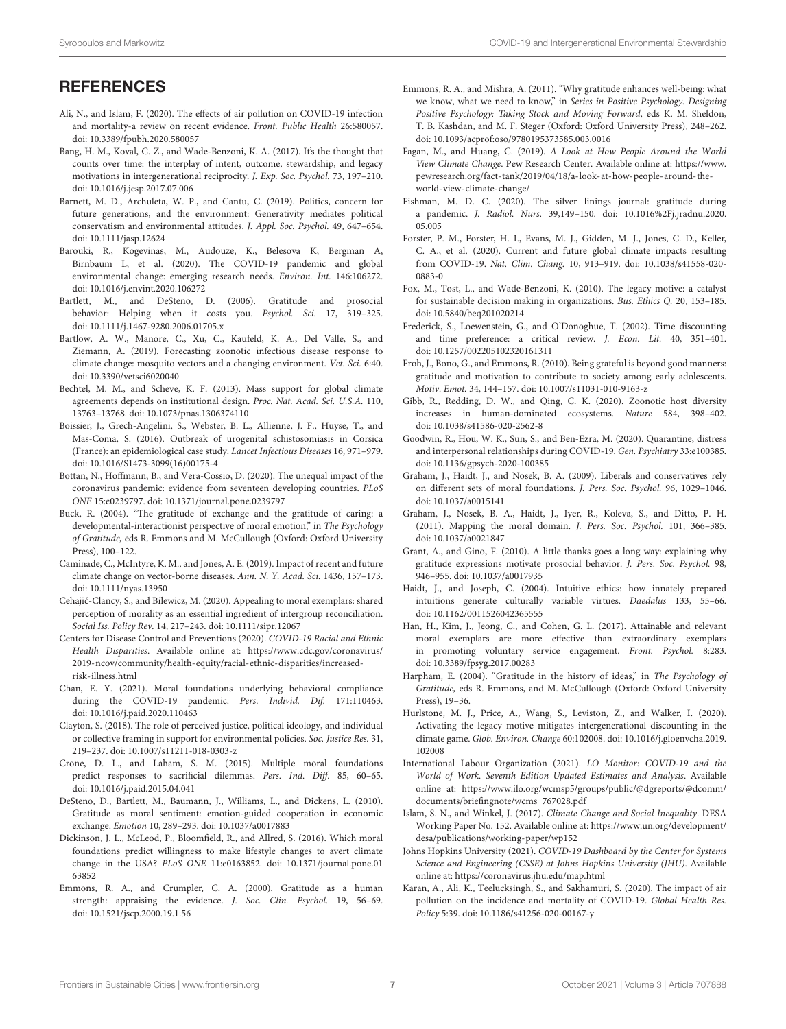## **REFERENCES**

- <span id="page-6-8"></span>Ali, N., and Islam, F. (2020). The effects of air pollution on COVID-19 infection and mortality-a review on recent evidence. Front. Public Health 26:580057. doi: [10.3389/fpubh.2020.580057](https://doi.org/10.3389/fpubh.2020.580057)
- <span id="page-6-35"></span>Bang, H. M., Koval, C. Z., and Wade-Benzoni, K. A. (2017). It's the thought that counts over time: the interplay of intent, outcome, stewardship, and legacy motivations in intergenerational reciprocity. J. Exp. Soc. Psychol. 73, 197–210. doi: [10.1016/j.jesp.2017.07.006](https://doi.org/10.1016/j.jesp.2017.07.006)
- <span id="page-6-31"></span>Barnett, M. D., Archuleta, W. P., and Cantu, C. (2019). Politics, concern for future generations, and the environment: Generativity mediates political conservatism and environmental attitudes. J. Appl. Soc. Psychol. 49, 647–654. doi: [10.1111/jasp.12624](https://doi.org/10.1111/jasp.12624)
- <span id="page-6-2"></span>Barouki, R., Kogevinas, M., Audouze, K., Belesova K, Bergman A, Birnbaum L, et al. (2020). The COVID-19 pandemic and global environmental change: emerging research needs. Environ. Int. 146:106272. doi: [10.1016/j.envint.2020.106272](https://doi.org/10.1016/j.envint.2020.106272)
- <span id="page-6-24"></span>Bartlett, M., and DeSteno, D. (2006). Gratitude and prosocial behavior: Helping when it costs you. Psychol. Sci. 17, 319-325. doi: [10.1111/j.1467-9280.2006.01705.x](https://doi.org/10.1111/j.1467-9280.2006.01705.x)
- <span id="page-6-5"></span>Bartlow, A. W., Manore, C., Xu, C., Kaufeld, K. A., Del Valle, S., and Ziemann, A. (2019). Forecasting zoonotic infectious disease response to climate change: mosquito vectors and a changing environment. Vet. Sci. 6:40. doi: [10.3390/vetsci6020040](https://doi.org/10.3390/vetsci6020040)
- <span id="page-6-21"></span>Bechtel, M. M., and Scheve, K. F. (2013). Mass support for global climate agreements depends on institutional design. Proc. Nat. Acad. Sci. U.S.A. 110, 13763–13768. doi: [10.1073/pnas.1306374110](https://doi.org/10.1073/pnas.1306374110)
- <span id="page-6-4"></span>Boissier, J., Grech-Angelini, S., Webster, B. L., Allienne, J. F., Huyse, T., and Mas-Coma, S. (2016). Outbreak of urogenital schistosomiasis in Corsica (France): an epidemiological case study. Lancet Infectious Diseases 16, 971–979. doi: [10.1016/S1473-3099\(16\)00175-4](https://doi.org/10.1016/S1473-3099(16)00175-4)
- <span id="page-6-10"></span>Bottan, N., Hoffmann, B., and Vera-Cossio, D. (2020). The unequal impact of the coronavirus pandemic: evidence from seventeen developing countries. PLoS ONE 15:e0239797. doi: [10.1371/journal.pone.0239797](https://doi.org/10.1371/journal.pone.0239797)
- <span id="page-6-25"></span>Buck, R. (2004). "The gratitude of exchange and the gratitude of caring: a developmental-interactionist perspective of moral emotion," in The Psychology of Gratitude, eds R. Emmons and M. McCullough (Oxford: Oxford University Press), 100–122.
- <span id="page-6-6"></span>Caminade, C., McIntyre, K. M., and Jones, A. E. (2019). Impact of recent and future climate change on vector-borne diseases. Ann. N. Y. Acad. Sci. 1436, 157–173. doi: [10.1111/nyas.13950](https://doi.org/10.1111/nyas.13950)
- <span id="page-6-22"></span>Cehajić-Clancy, S., and Bilewicz, M. (2020). Appealing to moral exemplars: shared perception of morality as an essential ingredient of intergroup reconciliation. Social Iss. Policy Rev. 14, 217–243. doi: [10.1111/sipr.12067](https://doi.org/10.1111/sipr.12067)
- <span id="page-6-12"></span>Centers for Disease Control and Preventions (2020). COVID-19 Racial and Ethnic Health Disparities. Available online at: [https://www.cdc.gov/coronavirus/](https://www.cdc.gov/coronavirus/2019-ncov/community/health-equity/racial-ethnic-disparities/increased-risk-illness.html) [2019-ncov/community/health-equity/racial-ethnic-disparities/increased](https://www.cdc.gov/coronavirus/2019-ncov/community/health-equity/racial-ethnic-disparities/increased-risk-illness.html)[risk-illness.html](https://www.cdc.gov/coronavirus/2019-ncov/community/health-equity/racial-ethnic-disparities/increased-risk-illness.html)
- <span id="page-6-18"></span>Chan, E. Y. (2021). Moral foundations underlying behavioral compliance during the COVID-19 pandemic. Pers. Individ. Dif. 171:110463. doi: [10.1016/j.paid.2020.110463](https://doi.org/10.1016/j.paid.2020.110463)
- <span id="page-6-20"></span>Clayton, S. (2018). The role of perceived justice, political ideology, and individual or collective framing in support for environmental policies. Soc. Justice Res. 31, 219–237. doi: [10.1007/s11211-018-0303-z](https://doi.org/10.1007/s11211-018-0303-z)
- <span id="page-6-14"></span>Crone, D. L., and Laham, S. M. (2015). Multiple moral foundations predict responses to sacrificial dilemmas. Pers. Ind. Diff. 85, 60–65. doi: [10.1016/j.paid.2015.04.041](https://doi.org/10.1016/j.paid.2015.04.041)
- <span id="page-6-27"></span>DeSteno, D., Bartlett, M., Baumann, J., Williams, L., and Dickens, L. (2010). Gratitude as moral sentiment: emotion-guided cooperation in economic exchange. Emotion 10, 289–293. doi: [10.1037/a0017883](https://doi.org/10.1037/a0017883)
- <span id="page-6-19"></span>Dickinson, J. L., McLeod, P., Bloomfield, R., and Allred, S. (2016). Which moral foundations predict willingness to make lifestyle changes to avert climate change in the USA? PLoS ONE [11:e0163852. doi: 10.1371/journal.pone.01](https://doi.org/10.1371/journal.pone.0163852) 63852
- <span id="page-6-23"></span>Emmons, R. A., and Crumpler, C. A. (2000). Gratitude as a human strength: appraising the evidence. J. Soc. Clin. Psychol. 19, 56–69. doi: [10.1521/jscp.2000.19.1.56](https://doi.org/10.1521/jscp.2000.19.1.56)
- <span id="page-6-30"></span>Emmons, R. A., and Mishra, A. (2011). "Why gratitude enhances well-being: what we know, what we need to know," in Series in Positive Psychology. Designing Positive Psychology: Taking Stock and Moving Forward, eds K. M. Sheldon, T. B. Kashdan, and M. F. Steger (Oxford: Oxford University Press), 248–262. doi: [10.1093/acprof:oso/9780195373585.003.0016](https://doi.org/10.1093/acprof:oso/9780195373585.003.0016)
- <span id="page-6-37"></span>Fagan, M., and Huang, C. (2019). A Look at How People Around the World View Climate Change. Pew Research Center. Available online at: [https://www.](https://www.pewresearch.org/fact-tank/2019/04/18/a-look-at-how-people-around-the-world-view-climate-change/) [pewresearch.org/fact-tank/2019/04/18/a-look-at-how-people-around-the](https://www.pewresearch.org/fact-tank/2019/04/18/a-look-at-how-people-around-the-world-view-climate-change/)[world-view-climate-change/](https://www.pewresearch.org/fact-tank/2019/04/18/a-look-at-how-people-around-the-world-view-climate-change/)
- <span id="page-6-32"></span>Fishman, M. D. C. (2020). The silver linings journal: gratitude during a pandemic. J. Radiol. Nurs. [39,149–150. doi: 10.1016%2Fj.jradnu.2020.](https://doi.org/10.1016%2Fj.jradnu.2020.05.005) 05.005
- <span id="page-6-9"></span>Forster, P. M., Forster, H. I., Evans, M. J., Gidden, M. J., [Jones,](https://www.nature.com/articles/s41558-020-0883-0#auth-Chris_D_-Jones) C. D., Keller, C. A., et al. (2020). Current and future global climate impacts resulting from COVID-19. Nat. Clim. Chang. [10, 913–919. doi: 10.1038/s41558-020-](https://doi.org/10.1038/s41558-020-0883-0) 0883-0
- <span id="page-6-33"></span>Fox, M., Tost, L., and Wade-Benzoni, K. (2010). The legacy motive: a catalyst for sustainable decision making in organizations. Bus. Ethics Q. 20, 153–185. doi: [10.5840/beq201020214](https://doi.org/10.5840/beq201020214)
- <span id="page-6-16"></span>Frederick, S., Loewenstein, G., and O'Donoghue, T. (2002). Time discounting and time preference: a critical review. J. Econ. Lit. 40, 351–401. doi: [10.1257/002205102320161311](https://doi.org/10.1257/002205102320161311)
- <span id="page-6-29"></span>Froh, J., Bono, G., and Emmons, R. (2010). Being grateful is beyond good manners: gratitude and motivation to contribute to society among early adolescents. Motiv. Emot. 34, 144–157. doi: [10.1007/s11031-010-9163-z](https://doi.org/10.1007/s11031-010-9163-z)
- <span id="page-6-3"></span>Gibb, R., Redding, D. W., and Qing, C. K. (2020). Zoonotic host diversity increases in human-dominated ecosystems. Nature 584, 398–402. doi: [10.1038/s41586-020-2562-8](https://doi.org/10.1038/s41586-020-2562-8)
- <span id="page-6-1"></span>Goodwin, R., Hou, W. K., Sun, S., and Ben-Ezra, M. (2020). Quarantine, distress and interpersonal relationships during COVID-19. Gen. Psychiatry 33:e100385. doi: [10.1136/gpsych-2020-100385](https://doi.org/10.1136/gpsych-2020-100385)
- <span id="page-6-13"></span>Graham, J., Haidt, J., and Nosek, B. A. (2009). Liberals and conservatives rely on different sets of moral foundations. J. Pers. Soc. Psychol. 96, 1029–1046. doi: [10.1037/a0015141](https://doi.org/10.1037/a0015141)
- <span id="page-6-17"></span>Graham, J., Nosek, B. A., Haidt, J., Iyer, R., Koleva, S., and Ditto, P. H. (2011). Mapping the moral domain. J. Pers. Soc. Psychol. 101, 366–385. doi: [10.1037/a0021847](https://doi.org/10.1037/a0021847)
- <span id="page-6-28"></span>Grant, A., and Gino, F. (2010). A little thanks goes a long way: explaining why gratitude expressions motivate prosocial behavior. J. Pers. Soc. Psychol. 98, 946–955. doi: [10.1037/a0017935](https://doi.org/10.1037/a0017935)
- <span id="page-6-15"></span>Haidt, J., and Joseph, C. (2004). Intuitive ethics: how innately prepared intuitions generate culturally variable virtues. Daedalus 133, 55–66. doi: [10.1162/0011526042365555](https://doi.org/10.1162/0011526042365555)
- <span id="page-6-36"></span>Han, H., Kim, J., Jeong, C., and Cohen, G. L. (2017). Attainable and relevant moral exemplars are more effective than extraordinary exemplars in promoting voluntary service engagement. Front. Psychol. 8:283. doi: [10.3389/fpsyg.2017.00283](https://doi.org/10.3389/fpsyg.2017.00283)
- <span id="page-6-26"></span>Harpham, E. (2004). "Gratitude in the history of ideas," in The Psychology of Gratitude, eds R. Emmons, and M. McCullough (Oxford: Oxford University Press), 19–36.
- <span id="page-6-34"></span>Hurlstone, M. J., Price, A., Wang, S., Leviston, Z., and Walker, I. (2020). Activating the legacy motive mitigates intergenerational discounting in the climate game. Glob. Environ. Change [60:102008. doi: 10.1016/j.gloenvcha.2019.](https://doi.org/10.1016/j.gloenvcha.2019.102008) 102008
- <span id="page-6-11"></span>International Labour Organization (2021). LO Monitor: COVID-19 and the World of Work. Seventh Edition Updated Estimates and Analysis. Available online at: [https://www.ilo.org/wcmsp5/groups/public/@dgreports/@dcomm/](https://www.ilo.org/wcmsp5/groups/public/@dgreports/@dcomm/documents/briefingnote/wcms_767028.pdf) [documents/briefingnote/wcms\\_767028.pdf](https://www.ilo.org/wcmsp5/groups/public/@dgreports/@dcomm/documents/briefingnote/wcms_767028.pdf)
- <span id="page-6-38"></span>Islam, S. N., and Winkel, J. (2017). Climate Change and Social Inequality. DESA Working Paper No. 152. Available online at: [https://www.un.org/development/](https://www.un.org/development/desa/publications/working-paper/wp152) [desa/publications/working-paper/wp152](https://www.un.org/development/desa/publications/working-paper/wp152)
- <span id="page-6-0"></span>Johns Hopkins University (2021). COVID-19 Dashboard by the Center for Systems Science and Engineering (CSSE) at Johns Hopkins University (JHU). Available online at:<https://coronavirus.jhu.edu/map.html>
- <span id="page-6-7"></span>Karan, A., Ali, K., Teelucksingh, S., and Sakhamuri, S. (2020). The impact of air pollution on the incidence and mortality of COVID-19. Global Health Res. Policy 5:39. doi: [10.1186/s41256-020-00167-y](https://doi.org/10.1186/s41256-020-00167-y)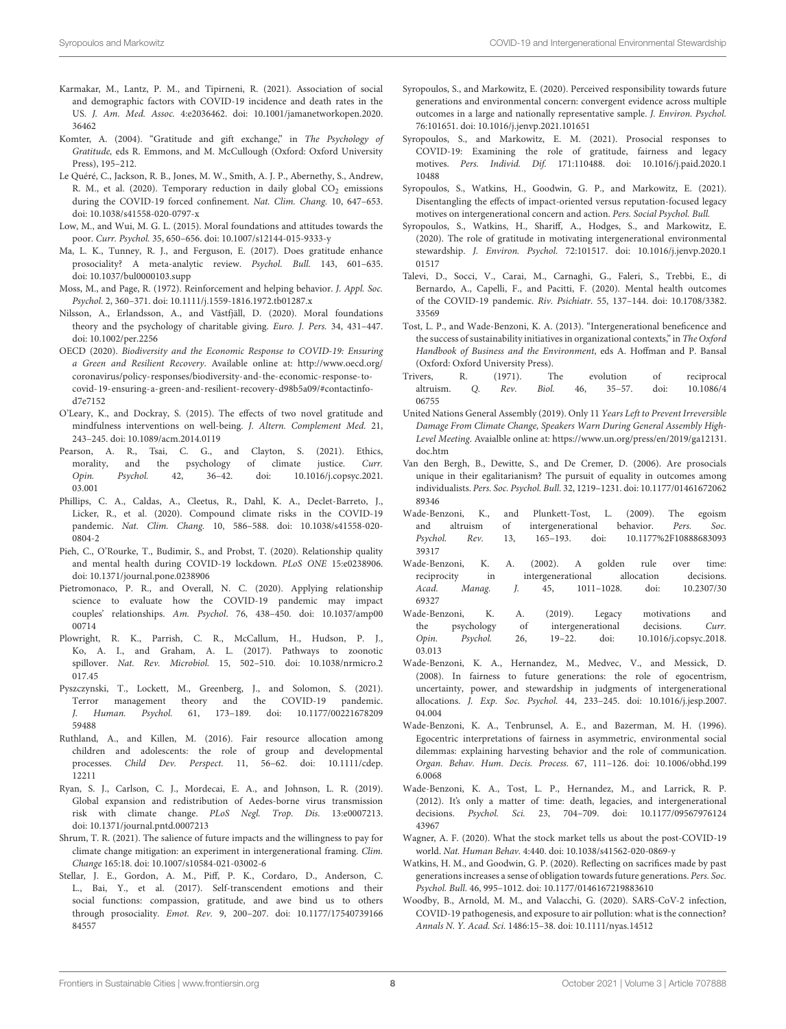- <span id="page-7-17"></span>Karmakar, M., Lantz, P. M., and Tipirneni, R. (2021). Association of social and demographic factors with COVID-19 incidence and death rates in the US. J. Am. Med. Assoc. [4:e2036462. doi: 10.1001/jamanetworkopen.2020.](https://doi.org/10.1001/jamanetworkopen.2020.36462) 36462
- <span id="page-7-27"></span>Komter, A. (2004). "Gratitude and gift exchange," in The Psychology of Gratitude, eds R. Emmons, and M. McCullough (Oxford: Oxford University Press), 195–212.
- <span id="page-7-9"></span>Le Quéré, C., Jackson, R. B., Jones, M. W., Smith, A. J. P., Abernethy, S., Andrew, R. M., et al. (2020). Temporary reduction in daily global  $CO<sub>2</sub>$  emissions during the COVID-19 forced confinement. Nat. Clim. Chang. 10, 647–653. doi: [10.1038/s41558-020-0797-x](https://doi.org/10.1038/s41558-020-0797-x)
- <span id="page-7-18"></span>Low, M., and Wui, M. G. L. (2015). Moral foundations and attitudes towards the poor. Curr. Psychol. 35, 650–656. doi: [10.1007/s12144-015-9333-y](https://doi.org/10.1007/s12144-015-9333-y)
- <span id="page-7-13"></span>Ma, L. K., Tunney, R. J., and Ferguson, E. (2017). Does gratitude enhance prosociality? A meta-analytic review. Psychol. Bull. 143, 601–635. doi: [10.1037/bul0000103.supp](https://doi.org/10.1037/bul0000103.supp)
- <span id="page-7-26"></span>Moss, M., and Page, R. (1972). Reinforcement and helping behavior. J. Appl. Soc. Psychol. 2, 360–371. doi: [10.1111/j.1559-1816.1972.tb01287.x](https://doi.org/10.1111/j.1559-1816.1972.tb01287.x)
- <span id="page-7-21"></span>Nilsson, A., Erlandsson, A., and Västfjäll, D. (2020). Moral foundations theory and the psychology of charitable giving. Euro. J. Pers. 34, 431–447. doi: [10.1002/per.2256](https://doi.org/10.1002/per.2256)
- <span id="page-7-5"></span>OECD (2020). Biodiversity and the Economic Response to COVID-19: Ensuring a Green and Resilient Recovery. Available online at: [http://www.oecd.org/](http://www.oecd.org/coronavirus/policy-responses/biodiversity-and-the-economic-response-to-covid-19-ensuring-a-green-and-resilient-recovery-d98b5a09/#contactinfo-d7e7152) [coronavirus/policy-responses/biodiversity-and-the-economic-response-to](http://www.oecd.org/coronavirus/policy-responses/biodiversity-and-the-economic-response-to-covid-19-ensuring-a-green-and-resilient-recovery-d98b5a09/#contactinfo-d7e7152)[covid-19-ensuring-a-green-and-resilient-recovery-d98b5a09/#contactinfo](http://www.oecd.org/coronavirus/policy-responses/biodiversity-and-the-economic-response-to-covid-19-ensuring-a-green-and-resilient-recovery-d98b5a09/#contactinfo-d7e7152)[d7e7152](http://www.oecd.org/coronavirus/policy-responses/biodiversity-and-the-economic-response-to-covid-19-ensuring-a-green-and-resilient-recovery-d98b5a09/#contactinfo-d7e7152)
- <span id="page-7-29"></span>O'Leary, K., and Dockray, S. (2015). The effects of two novel gratitude and mindfulness interventions on well-being. J. Altern. Complement Med. 21, 243–245. doi: [10.1089/acm.2014.0119](https://doi.org/10.1089/acm.2014.0119)
- <span id="page-7-22"></span>Pearson, A. R., Tsai, C. G., and Clayton, S. (2021). Ethics, morality, and the psychology of climate justice. Curr. Opin. Psychol. [42, 36–42. doi: 10.1016/j.copsyc.2021.](https://doi.org/10.1016/j.copsyc.2021.03.001) 03.001
- <span id="page-7-8"></span>Phillips, C. A., Caldas, A., Cleetus, R., Dahl, K. A., [Declet-Barreto,](https://www.nature.com/articles/s41558-020-0804-2#auth-Juan-Declet_Barreto) J., Licker, R., et al. (2020). Compound climate risks in the COVID-19 pandemic. Nat. Clim. Chang. [10, 586–588. doi: 10.1038/s41558-020-](https://doi.org/10.1038/s41558-020-0804-2) 0804-2
- <span id="page-7-2"></span>Pieh, C., O'Rourke, T., Budimir, S., and Probst, T. (2020). Relationship quality and mental health during COVID-19 lockdown. PLoS ONE 15:e0238906. doi: [10.1371/journal.pone.0238906](https://doi.org/10.1371/journal.pone.0238906)
- <span id="page-7-3"></span>Pietromonaco, P. R., and Overall, N. C. (2020). Applying relationship science to evaluate how the COVID-19 pandemic may impact couples' relationships. Am. Psychol[. 76, 438–450. doi: 10.1037/amp00](https://doi.org/10.1037/amp0000714) 00714
- <span id="page-7-4"></span>Plowright, R. K., Parrish, C. R., McCallum, H., Hudson, P. J., Ko, A. I., and Graham, A. L. (2017). Pathways to zoonotic spillover. Nat. Rev. Microbiol. [15, 502–510. doi: 10.1038/nrmicro.2](https://doi.org/10.1038/nrmicro.2017.45) 017.45
- <span id="page-7-10"></span>Pyszczynski, T., Lockett, M., Greenberg, J., and Solomon, S. (2021). Terror management theory and the COVID-19 pandemic. J. Human. Psychol. [61, 173–189. doi: 10.1177/00221678209](https://doi.org/10.1177/0022167820959488) 59488
- <span id="page-7-23"></span>Ruthland, A., and Killen, M. (2016). Fair resource allocation among children and adolescents: the role of group and developmental processes. Child Dev. Perspect. 11, 56-62. doi: 10.1111/cdep. 12211
- <span id="page-7-6"></span>Ryan, S. J., Carlson, C. J., Mordecai, E. A., and Johnson, L. R. (2019). Global expansion and redistribution of Aedes-borne virus transmission risk with climate change. PLoS Negl. Trop. Dis. 13:e0007213. doi: [10.1371/journal.pntd.0007213](https://doi.org/10.1371/journal.pntd.0007213)
- <span id="page-7-35"></span>Shrum, T. R. (2021). The salience of future impacts and the willingness to pay for climate change mitigation: an experiment in intergenerational framing. Clim. Change 165:18. doi: [10.1007/s10584-021-03002-6](https://doi.org/10.1007/s10584-021-03002-6)
- <span id="page-7-25"></span>Stellar, J. E., Gordon, A. M., Piff, P. K., Cordaro, D., Anderson, C. L., Bai, Y., et al. (2017). Self-transcendent emotions and their social functions: compassion, gratitude, and awe bind us to others through prosociality. Emot. Rev. [9, 200–207. doi: 10.1177/17540739166](https://doi.org/10.1177/1754073916684557) 84557
- <span id="page-7-30"></span>Syropoulos, S., and Markowitz, E. (2020). Perceived responsibility towards future generations and environmental concern: convergent evidence across multiple outcomes in a large and nationally representative sample. J. Environ. Psychol. 76:101651. doi: [10.1016/j.jenvp.2021.101651](https://doi.org/10.1016/j.jenvp.2021.101651)
- <span id="page-7-15"></span>Syropoulos, S., and Markowitz, E. M. (2021). Prosocial responses to COVID-19: Examining the role of gratitude, fairness and legacy motives. Pers. Individ. Dif. [171:110488. doi: 10.1016/j.paid.2020.1](https://doi.org/10.1016/j.paid.2020.110488) 10488
- <span id="page-7-33"></span>Syropoulos, S., Watkins, H., Goodwin, G. P., and Markowitz, E. (2021). Disentangling the effects of impact-oriented versus reputation-focused legacy motives on intergenerational concern and action. Pers. Social Psychol. Bull.
- <span id="page-7-28"></span>Syropoulos, S., Watkins, H., Shariff, A., Hodges, S., and Markowitz, E. (2020). The role of gratitude in motivating intergenerational environmental stewardship. J. Environ. Psychol. [72:101517. doi: 10.1016/j.jenvp.2020.1](https://doi.org/10.1016/j.jenvp.2020.101517) 01517
- <span id="page-7-1"></span>Talevi, D., Socci, V., Carai, M., Carnaghi, G., Faleri, S., Trebbi, E., di Bernardo, A., Capelli, F., and Pacitti, F. (2020). Mental health outcomes of the COVID-19 pandemic. Riv. Psichiatr. [55, 137–144. doi: 10.1708/3382.](https://doi.org/10.1708/3382.33569) 33569
- <span id="page-7-32"></span>Tost, L. P., and Wade-Benzoni, K. A. (2013). "Intergenerational beneficence and the success of sustainability initiatives in organizational contexts," in The Oxford Handbook of Business and the Environment, eds A. Hoffman and P. Bansal (Oxford: Oxford University Press).
- <span id="page-7-24"></span>Trivers, R. (1971). The evolution of reciprocal altruism. Q. Rev. Biol. [46, 35–57. doi: 10.1086/4](https://doi.org/10.1086/406755) 06755
- <span id="page-7-36"></span>United Nations General Assembly (2019). Only 11 Years Left to Prevent Irreversible Damage From Climate Change, Speakers Warn During General Assembly High-Level Meeting. Avaialble online at: [https://www.un.org/press/en/2019/ga12131.](https://www.un.org/press/en/2019/ga12131.doc.htm) [doc.htm](https://www.un.org/press/en/2019/ga12131.doc.htm)
- <span id="page-7-19"></span>Van den Bergh, B., Dewitte, S., and De Cremer, D. (2006). Are prosocials unique in their egalitarianism? The pursuit of equality in outcomes among individualists. Pers. Soc. Psychol. Bull. [32, 1219–1231. doi: 10.1177/01461672062](https://doi.org/10.1177/0146167206289346) 89346
- <span id="page-7-16"></span>Wade-Benzoni, K., and Plunkett-Tost, L. (2009). The egoism and altruism of intergenerational behavior. Pers. Soc. Psychol. Rev. [13, 165–193. doi: 10.1177%2F10888683093](https://doi.org/10.1177%2F1088868309339317) 39317
- <span id="page-7-11"></span>Wade-Benzoni, K. A. (2002). A golden rule over time: reciprocity in intergenerational allocation decisions. Acad. Manag. J. [45, 1011–1028. doi: 10.2307/30](https://doi.org/10.2307/3069327) 69327
- <span id="page-7-31"></span>Wade-Benzoni, K. A. (2019). Legacy motivations and the psychology of intergenerational decisions. Curr. Opin. Psychol. [26, 19–22. doi: 10.1016/j.copsyc.2018.](https://doi.org/10.1016/j.copsyc.2018.03.013) 03.013
- <span id="page-7-12"></span>Wade-Benzoni, K. A., Hernandez, M., Medvec, V., and Messick, D. (2008). In fairness to future generations: the role of egocentrism, uncertainty, power, and stewardship in judgments of intergenerational allocations. J. Exp. Soc. Psychol. [44, 233–245. doi: 10.1016/j.jesp.2007.](https://doi.org/10.1016/j.jesp.2007.04.004) 04.004
- <span id="page-7-20"></span>Wade-Benzoni, K. A., Tenbrunsel, A. E., and Bazerman, M. H. (1996). Egocentric interpretations of fairness in asymmetric, environmental social dilemmas: explaining harvesting behavior and the role of communication. [Organ. Behav. Hum. Decis. Process.](https://doi.org/10.1006/obhd.1996.0068) 67, 111–126. doi: 10.1006/obhd.199 6.0068
- <span id="page-7-34"></span>Wade-Benzoni, K. A., Tost, L. P., Hernandez, M., and Larrick, R. P. (2012). It's only a matter of time: death, legacies, and intergenerational decisions. Psychol. Sci. [23, 704–709. doi: 10.1177/09567976124](https://doi.org/10.1177/0956797612443967) 43967
- <span id="page-7-0"></span>Wagner, A. F. (2020). What the stock market tells us about the post-COVID-19 world. Nat. Human Behav. 4:440. doi: [10.1038/s41562-020-0869-y](https://doi.org/10.1038/s41562-020-0869-y)
- <span id="page-7-14"></span>Watkins, H. M., and Goodwin, G. P. (2020). Reflecting on sacrifices made by past generations increases a sense of obligation towards future generations. Pers. Soc. Psychol. Bull. 46, 995–1012. doi: [10.1177/0146167219883610](https://doi.org/10.1177/0146167219883610)
- <span id="page-7-7"></span>Woodby, B., Arnold, M. M., and Valacchi, G. (2020). SARS-CoV-2 infection, COVID-19 pathogenesis, and exposure to air pollution: what is the connection? Annals N. Y. Acad. Sci. 1486:15–38. doi: [10.1111/nyas.14512](https://doi.org/10.1111/nyas.14512)